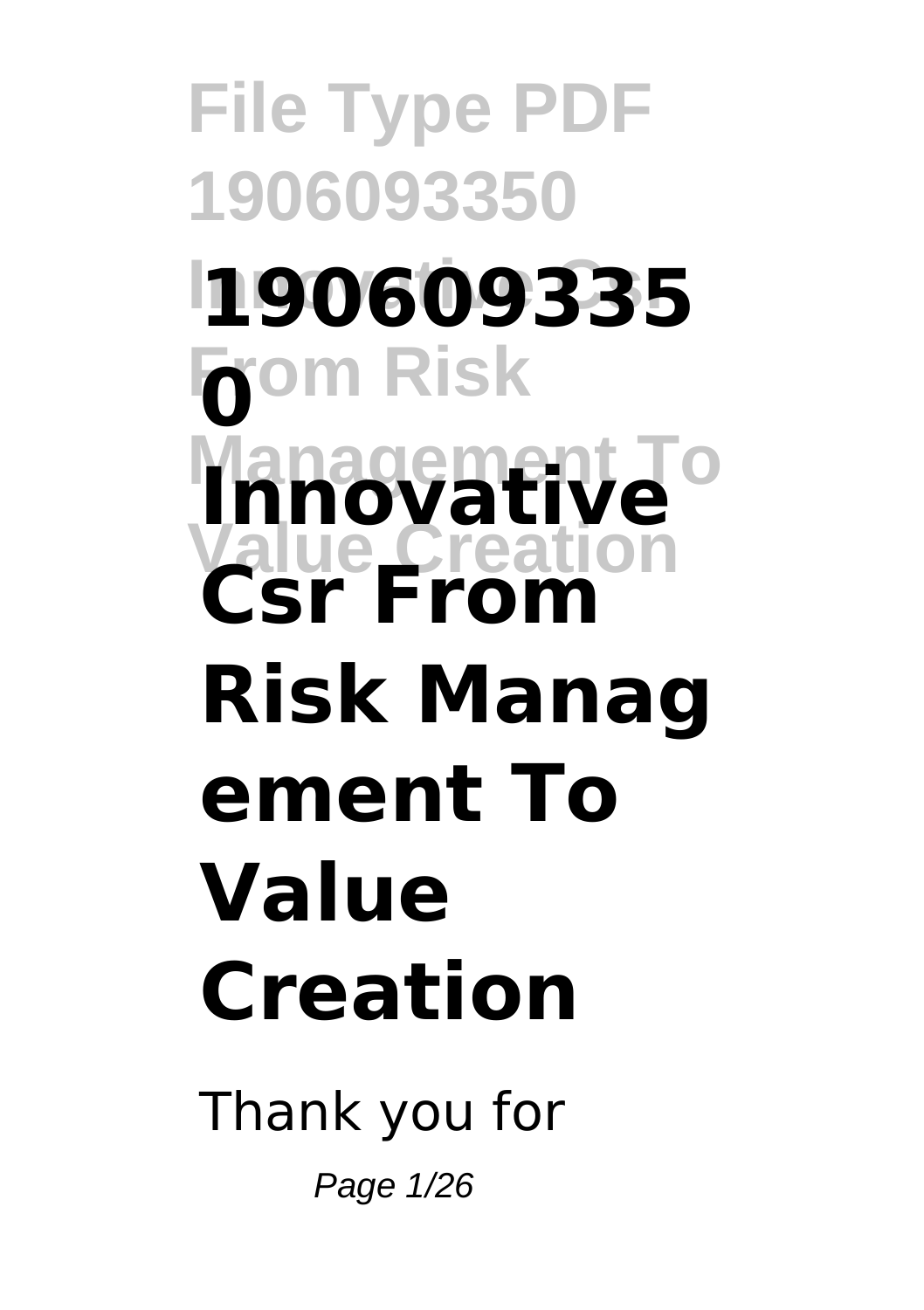**File Type PDF 1906093350 Innovative Csr 190609335**  $\overline{\mathbf{0}}^{\text{om Risk}}$ **Innovative Value Creation Csr From Risk Manag ement To Value Creation**

Thank you for Page 1/26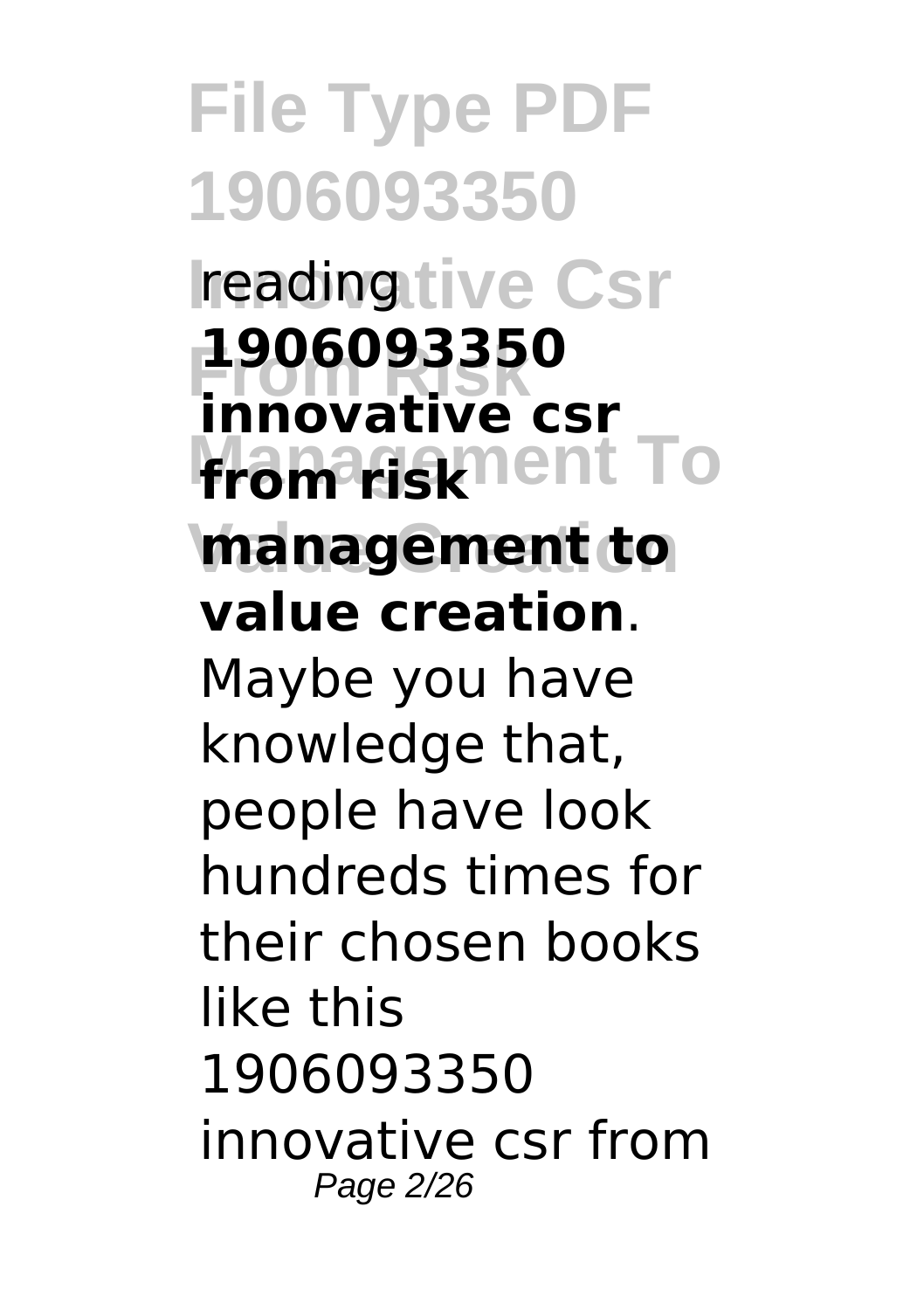**File Type PDF 1906093350 reading tive Csr From Risk innovative csr from risk nent To management to 1906093350 value creation**. Maybe you have knowledge that, people have look hundreds times for their chosen books like this 1906093350 innovative csr from Page 2/26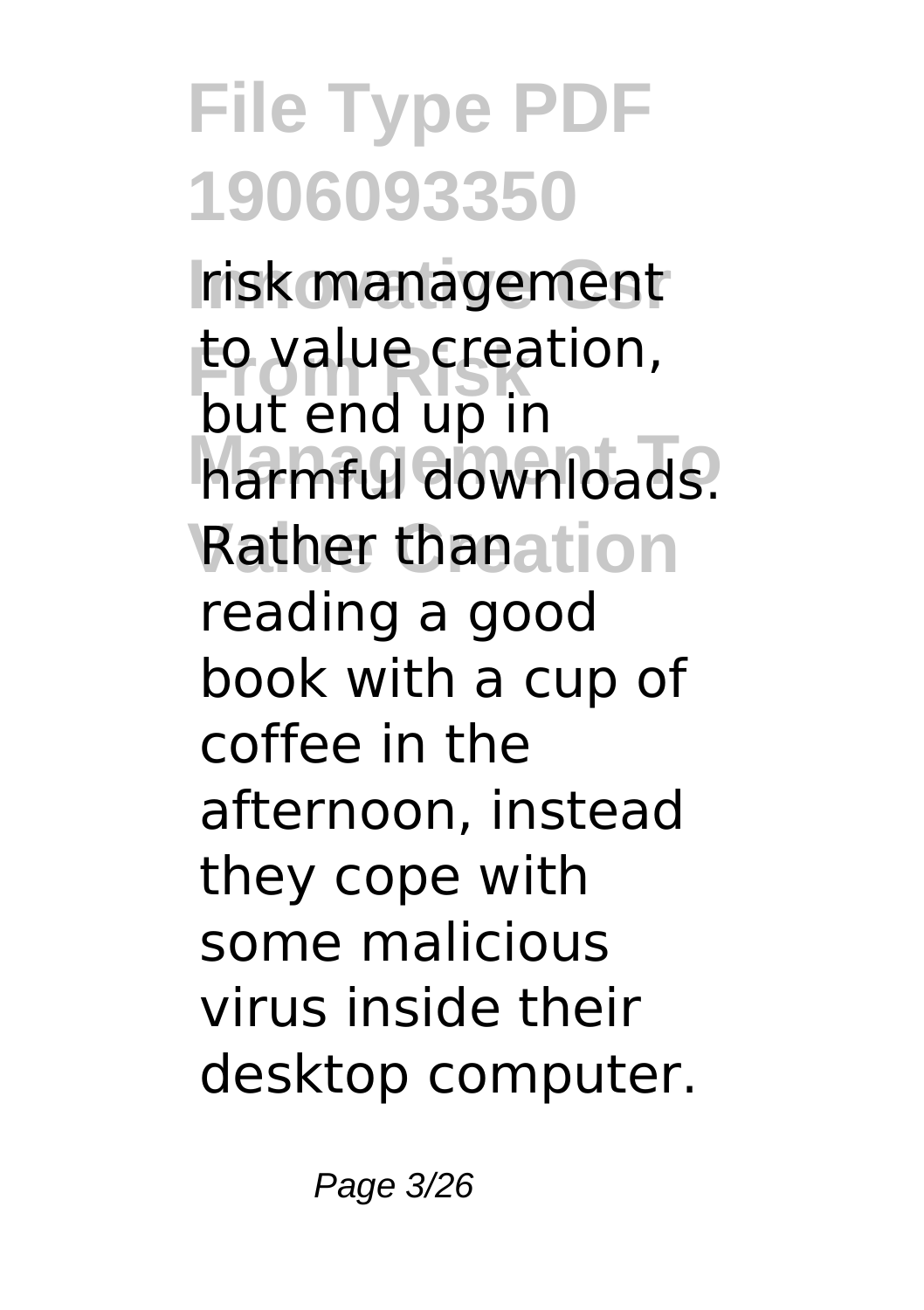**Irisk management** to value creation, **Management Townloads. Rather thanation** but end up in reading a good book with a cup of coffee in the afternoon, instead they cope with some malicious virus inside their desktop computer.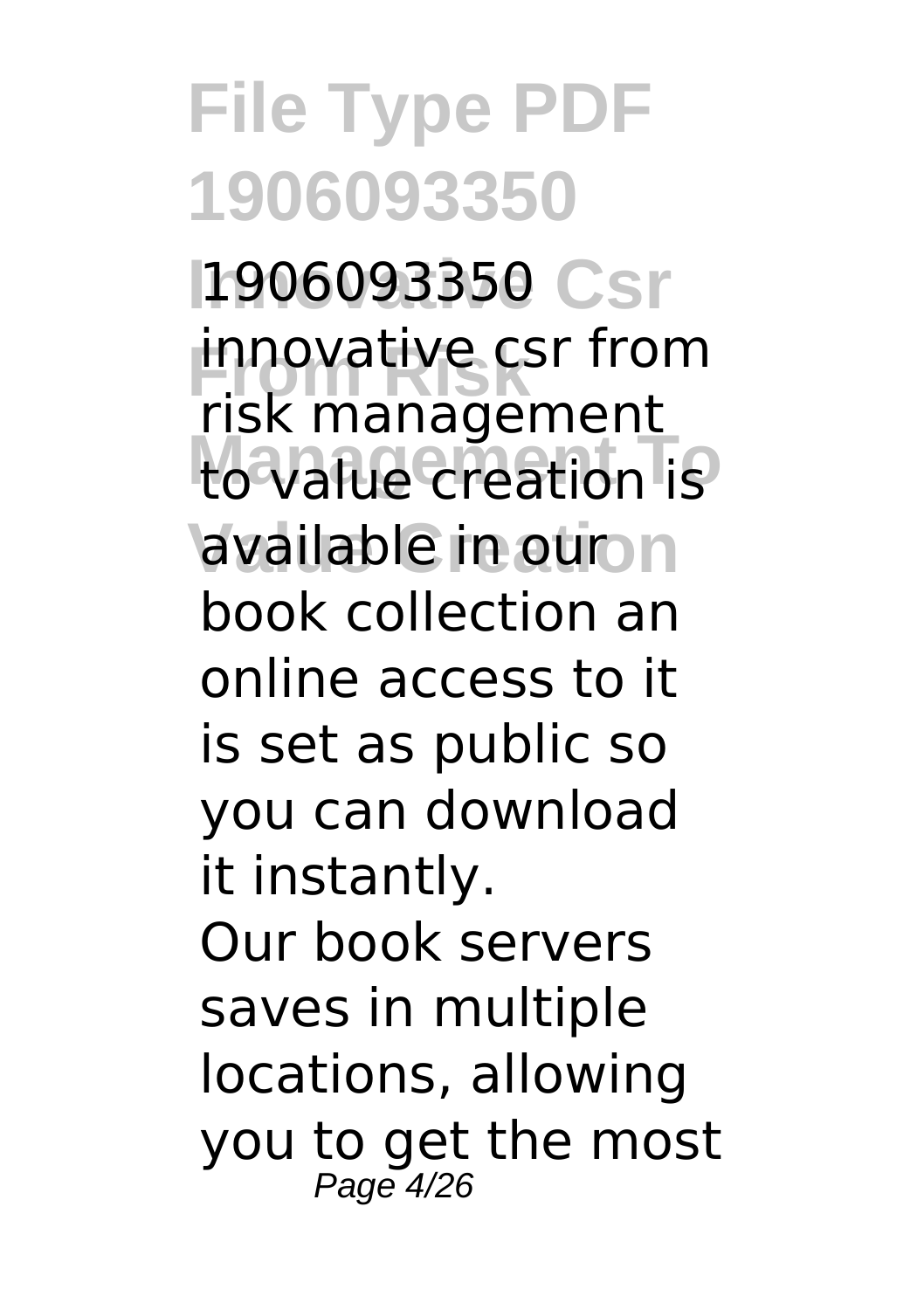**File Type PDF 1906093350 1906093350 Csr innovative csr from Management To** to value creation is available in our n risk management book collection an online access to it is set as public so you can download it instantly. Our book servers saves in multiple locations, allowing you to get the most Page 4/26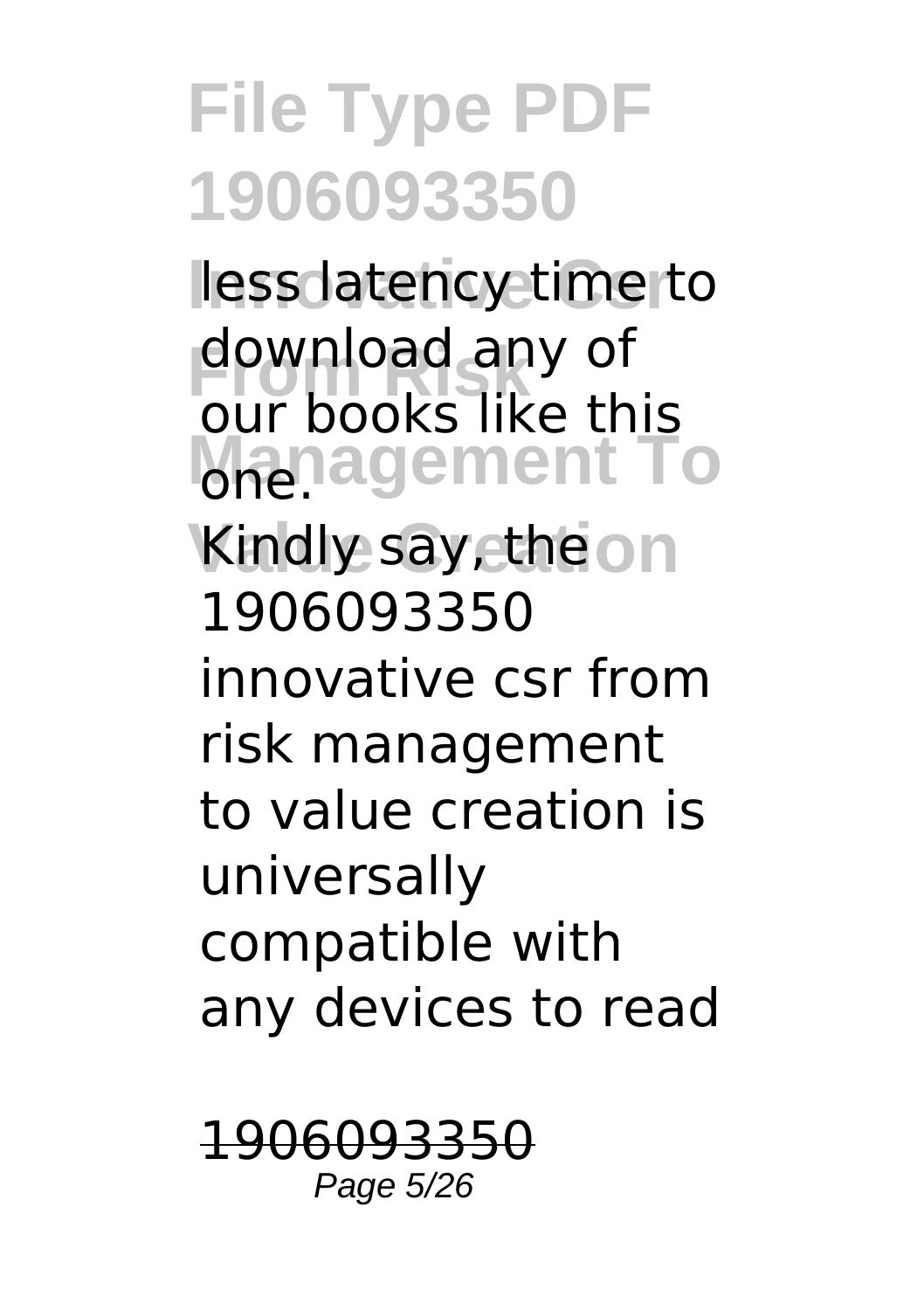less latency time to download any of *Management* To Kindly say, the on our books like this 1906093350 innovative csr from risk management to value creation is universally compatible with any devices to read

1906093350 Page 5/26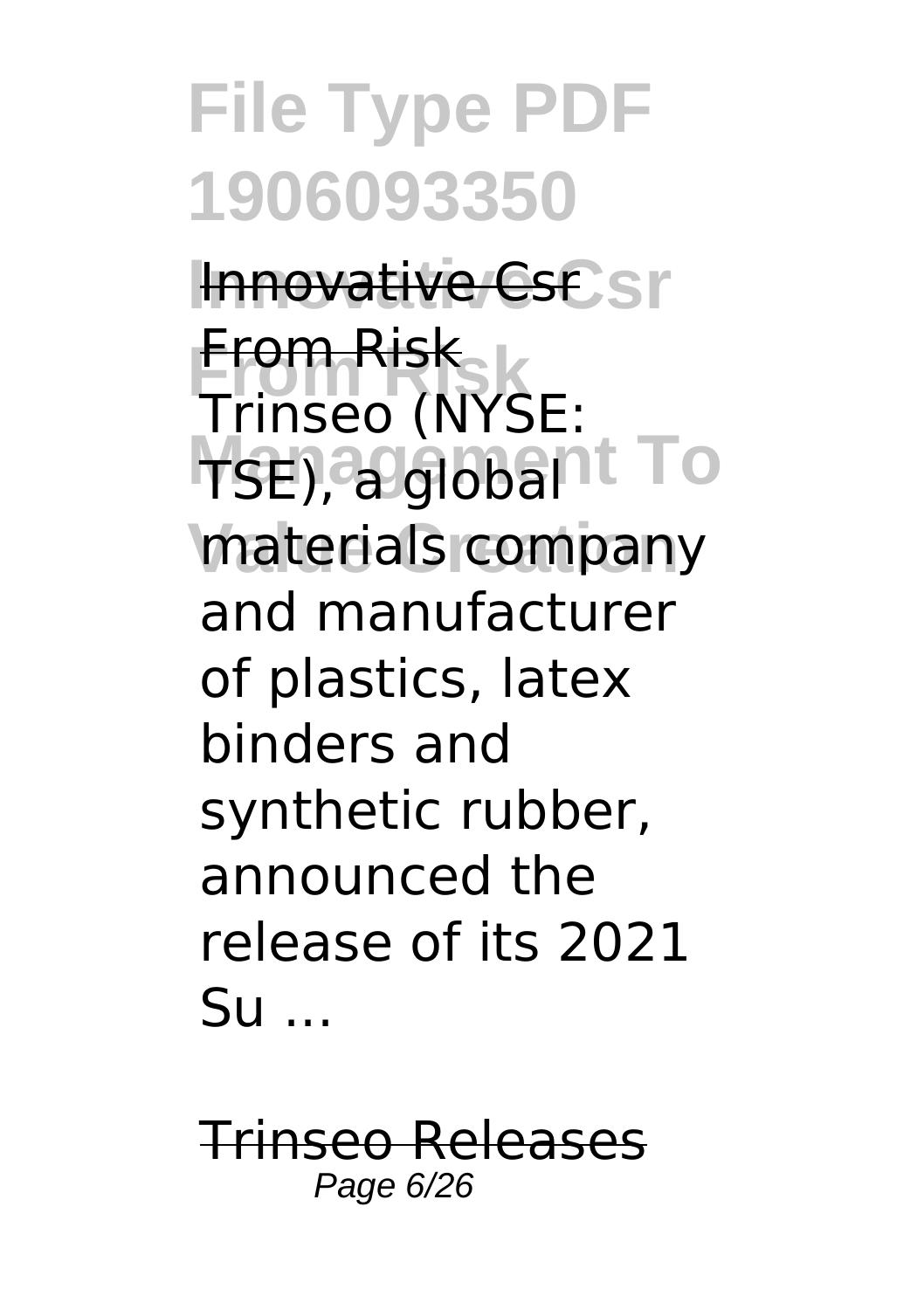**Innovative Csr** Innovative Csr **From Risk** Trinseo (NYSE: **TSE), a globant To** materials company From Risk and manufacturer of plastics, latex binders and synthetic rubber, announced the release of its 2021 Su ...

Trinseo Releases Page 6/26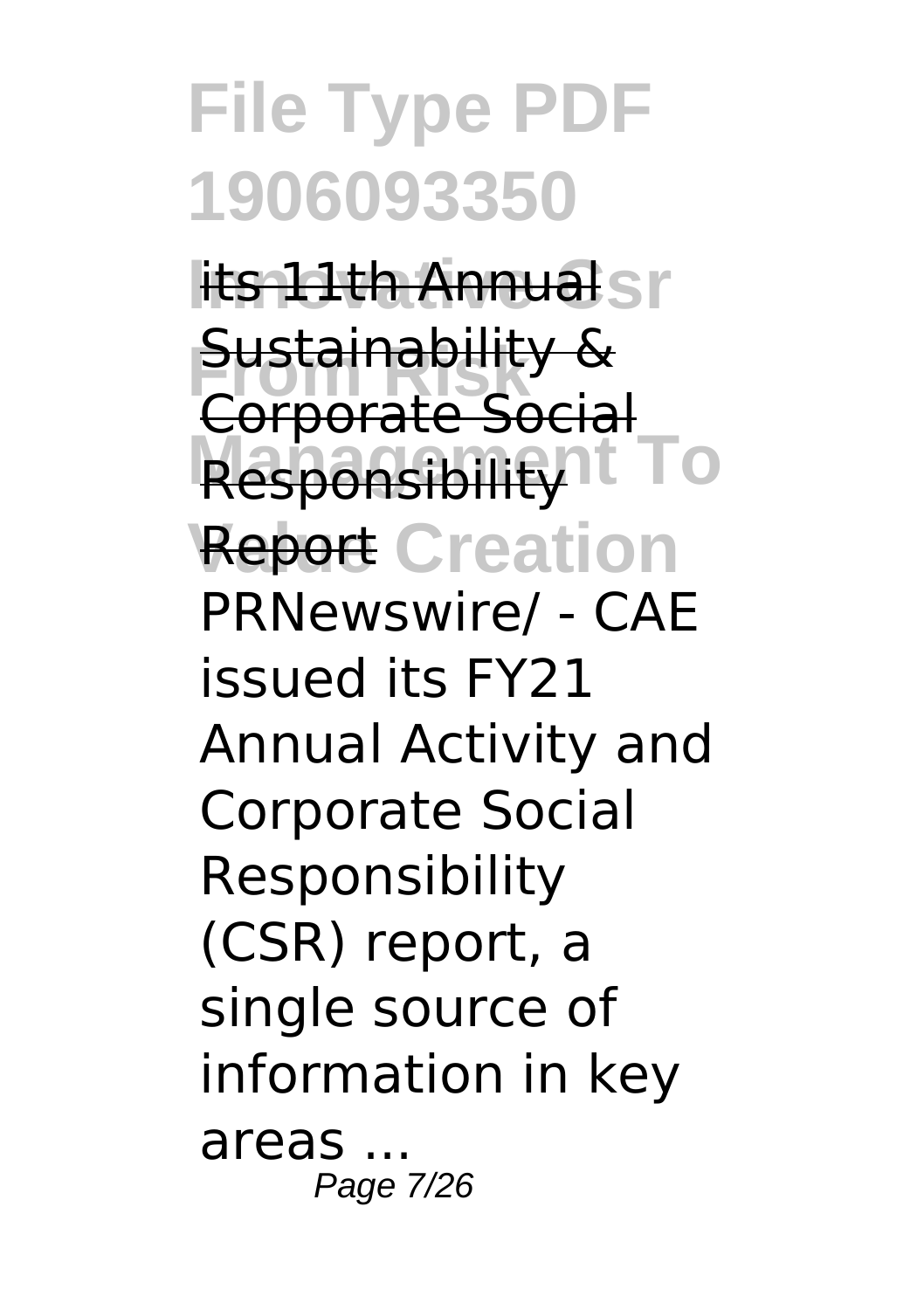l<del>its 11th Annual</del>sr **Sustainability & Responsibility<sup>1</sup>** To **Report Creation** Corporate Social PRNewswire/ - CAE issued its FY21 Annual Activity and Corporate Social Responsibility (CSR) report, a single source of information in key areas ... Page 7/26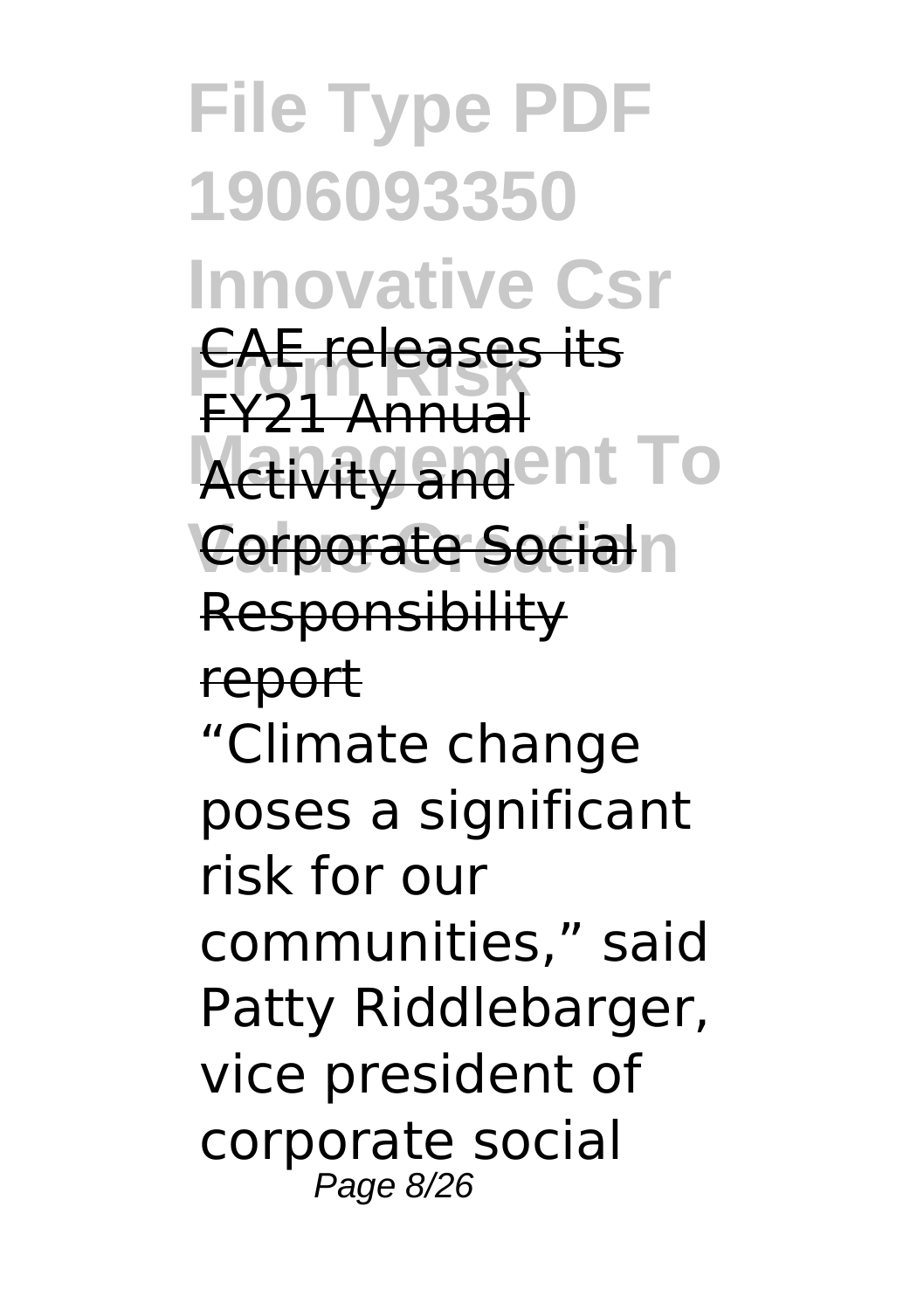**File Type PDF 1906093350 Innovative Csr From Risk** CAE releases its **Activity and ent To Corporate Socialn** FY21 Annual **Responsibility** report "Climate change poses a significant risk for our communities," said Patty Riddlebarger, vice president of corporate social Page 8/26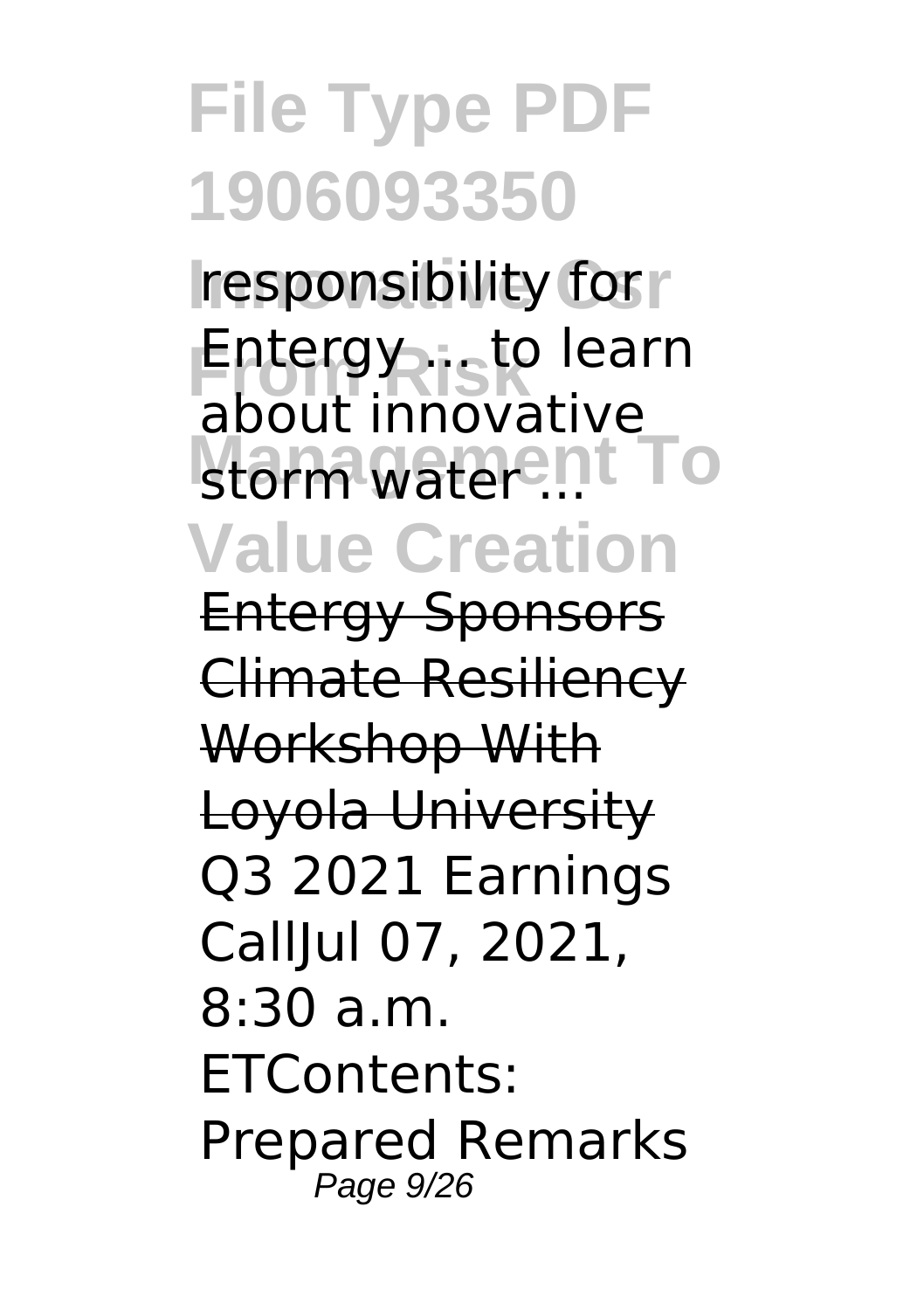**responsibility for r Entergy ... to learn** storm water ... **Value Creation** about innovative

Entergy Sponsors Climate Resiliency Workshop With Loyola University Q3 2021 Earnings CallJul 07, 2021, 8:30 a.m. ETContents: Prepared Remarks Page 9/26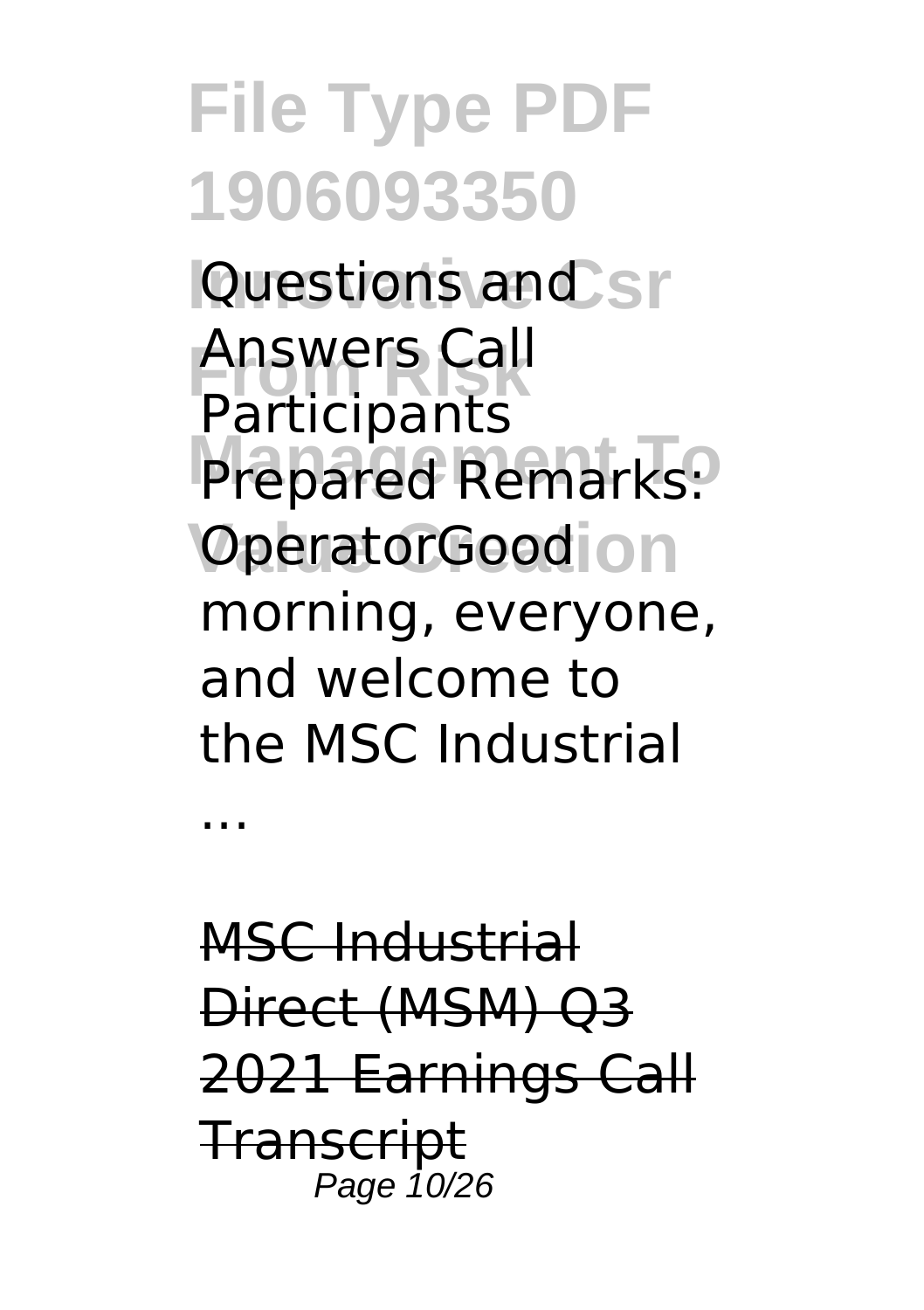**File Type PDF 1906093350 Questions and sr From Risk** Answers Call **Prepared Remarks: OperatorGoodion** Participants morning, everyone, and welcome to the MSC Industrial

MSC Industrial Direct (MSM) Q3 2021 Earnings Call **Transcript** Page 10/26

...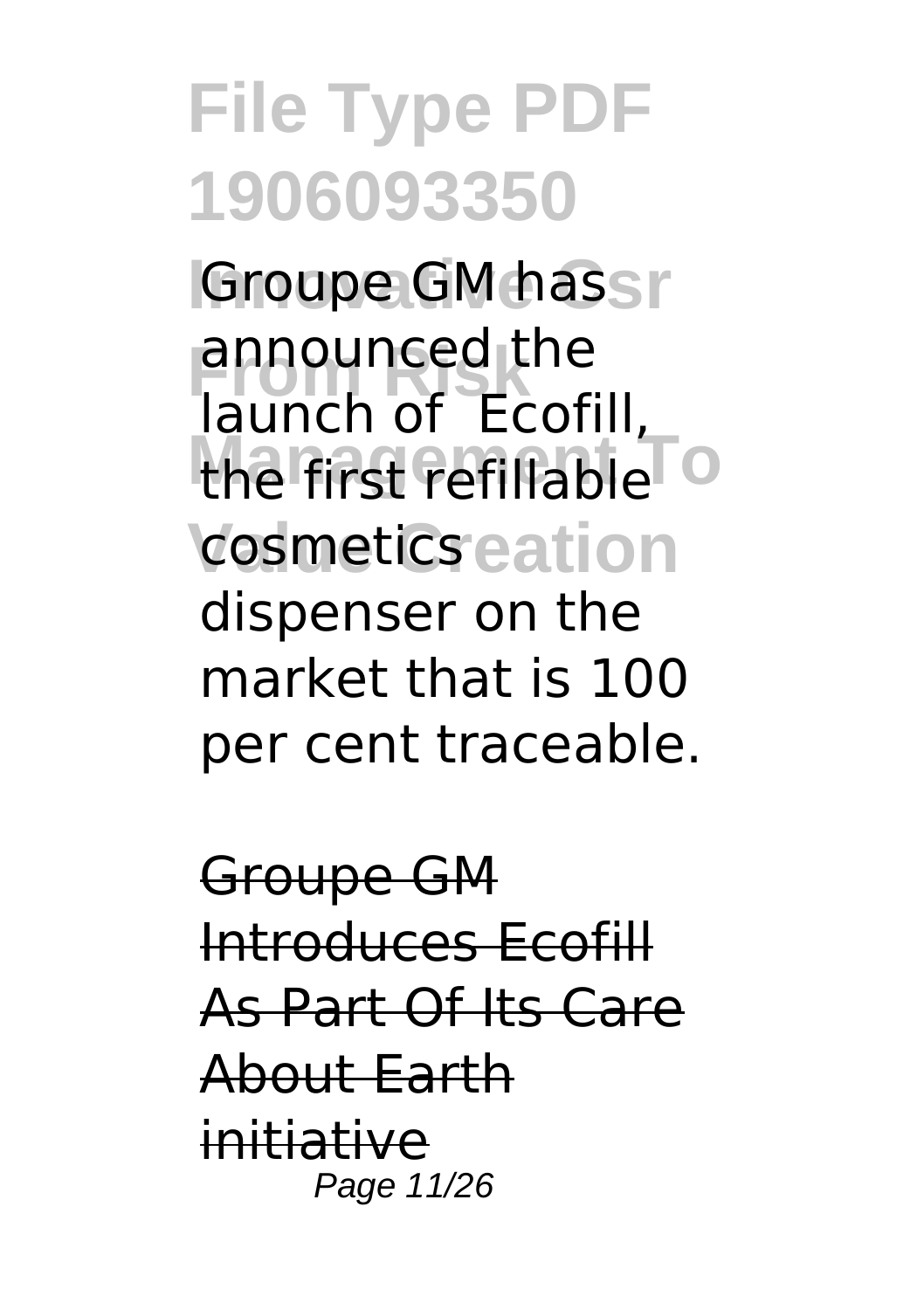**Groupe GM hassr From Risk** launch of Ecofill, the first refillable<sup>To</sup> cosmetics eation announced the dispenser on the market that is 100 per cent traceable.

Groupe GM Introduces Ecofill As Part Of Its Care About Earth initiative Page 11/26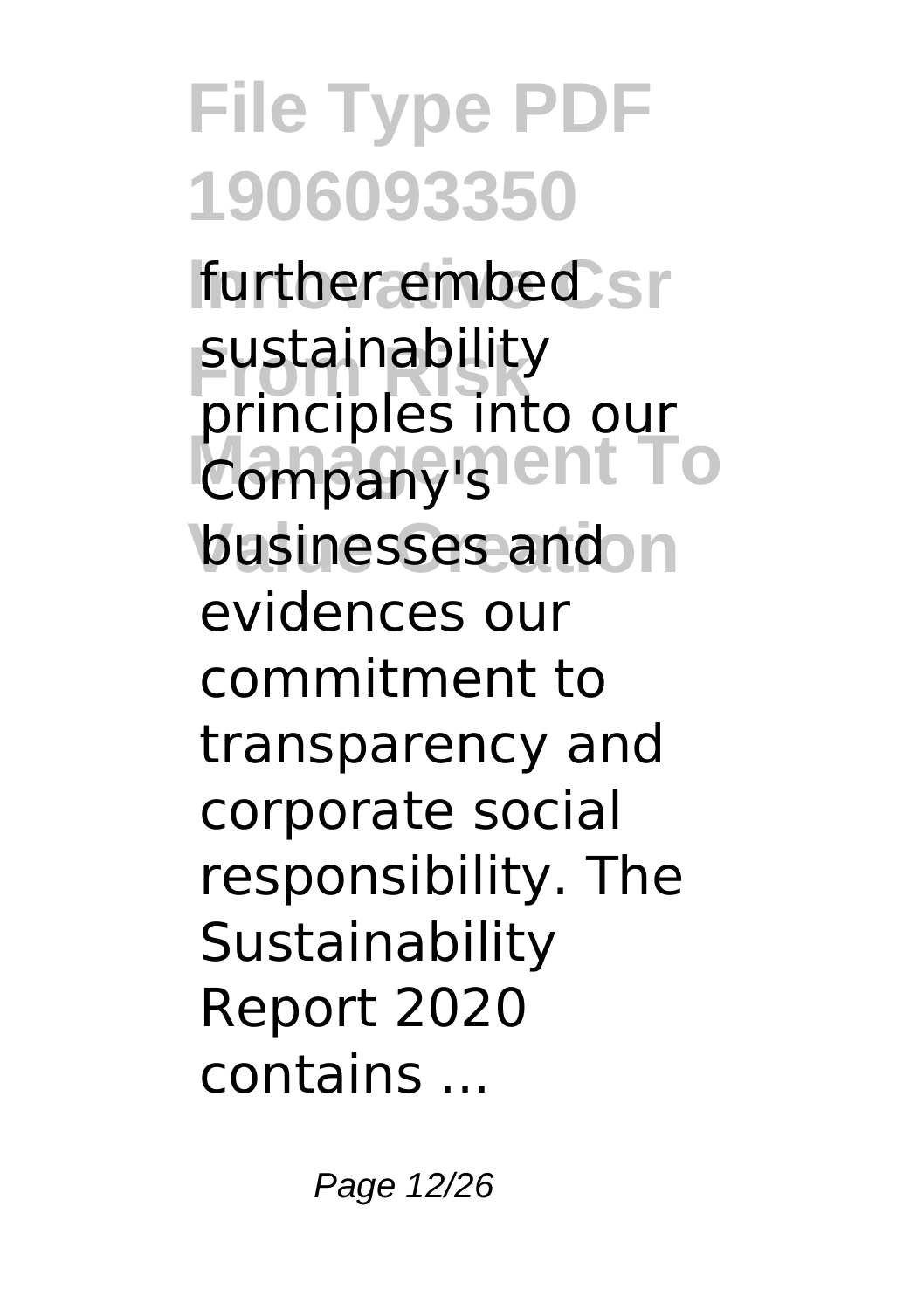**Ifurther embed** sr sustainability<br>*<u>principles</u>* **Company's ent To** businesses and n principles into our evidences our commitment to transparency and corporate social responsibility. The **Sustainability** Report 2020 contains ...

Page 12/26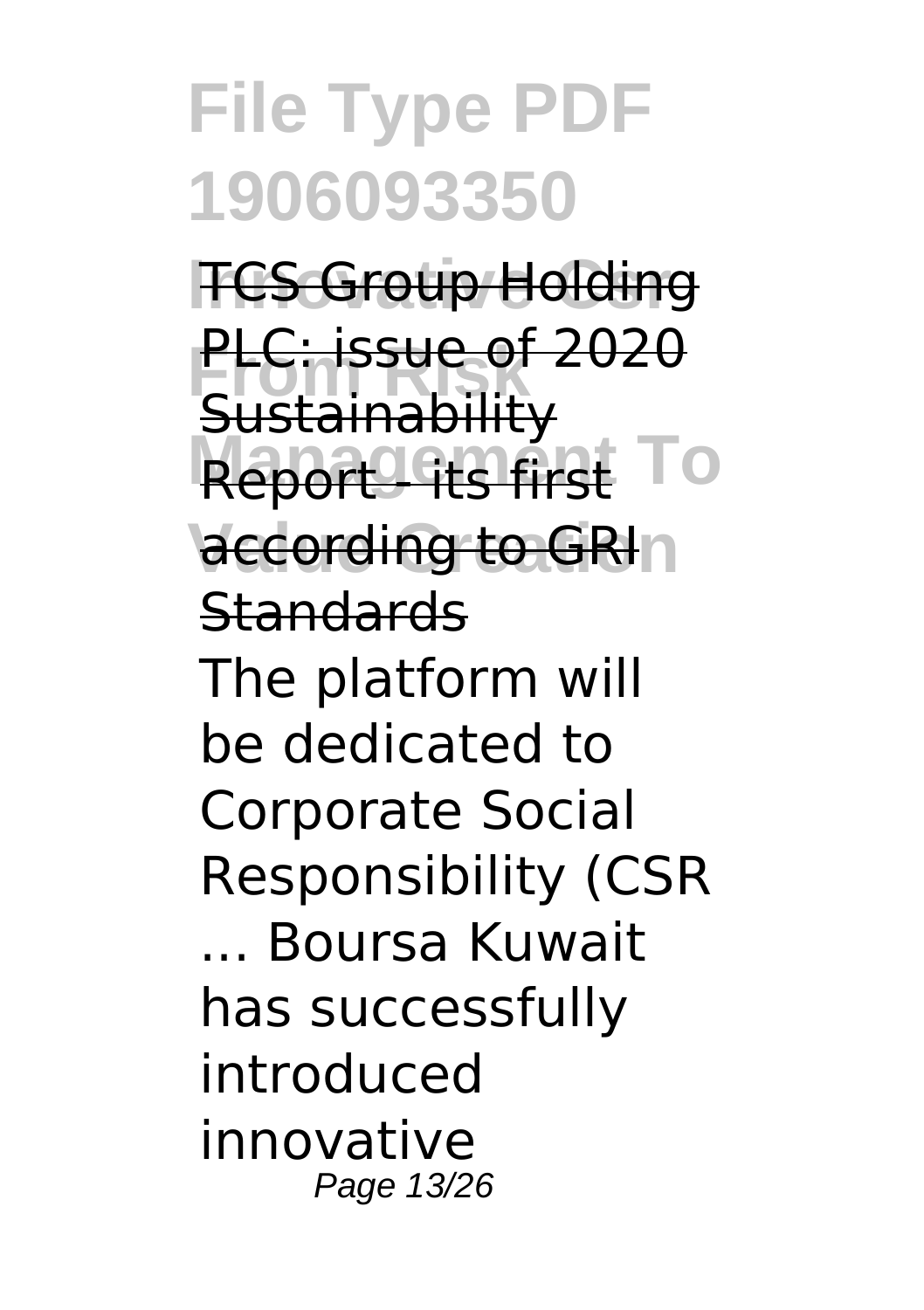**TCS Group Holding PLC: issue of 2020 Report - first To** according to GRIn **Sustainability Standards** The platform will be dedicated to Corporate Social Responsibility (CSR ... Boursa Kuwait has successfully introduced innovative Page 13/26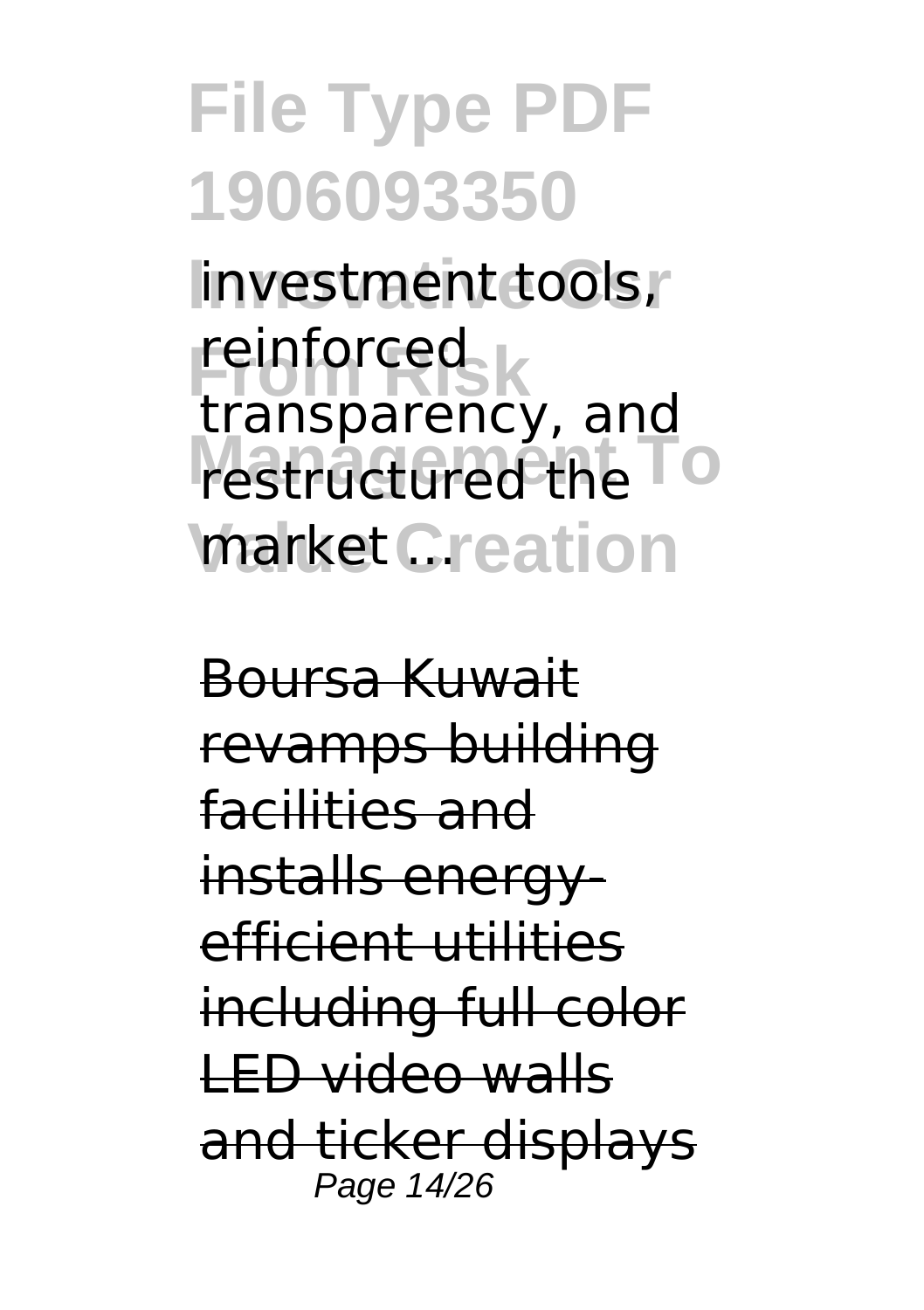investment tools, reinforced<br>transparency, and restructured the **TO market Creation** reinforced

Boursa Kuwait revamps building facilities and installs energyefficient utilities including full color LED video walls and ticker displays Page 14/26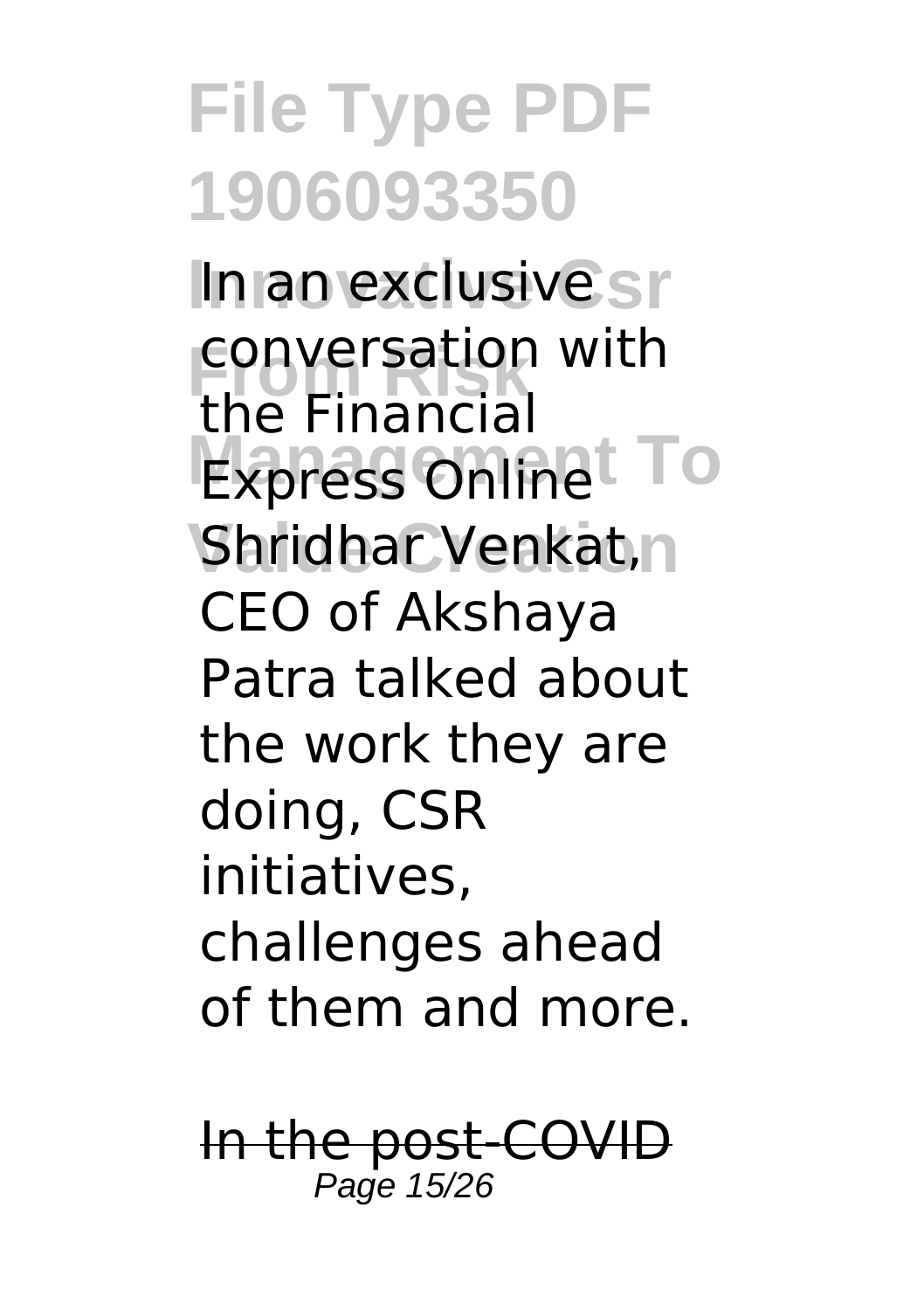In an exclusive sr conversation<br>the Financial **Express Onlinet To** Shridhar Venkat,n conversation with CEO of Akshaya Patra talked about the work they are doing, CSR initiatives, challenges ahead of them and more.

In the post-COVID Page 15/26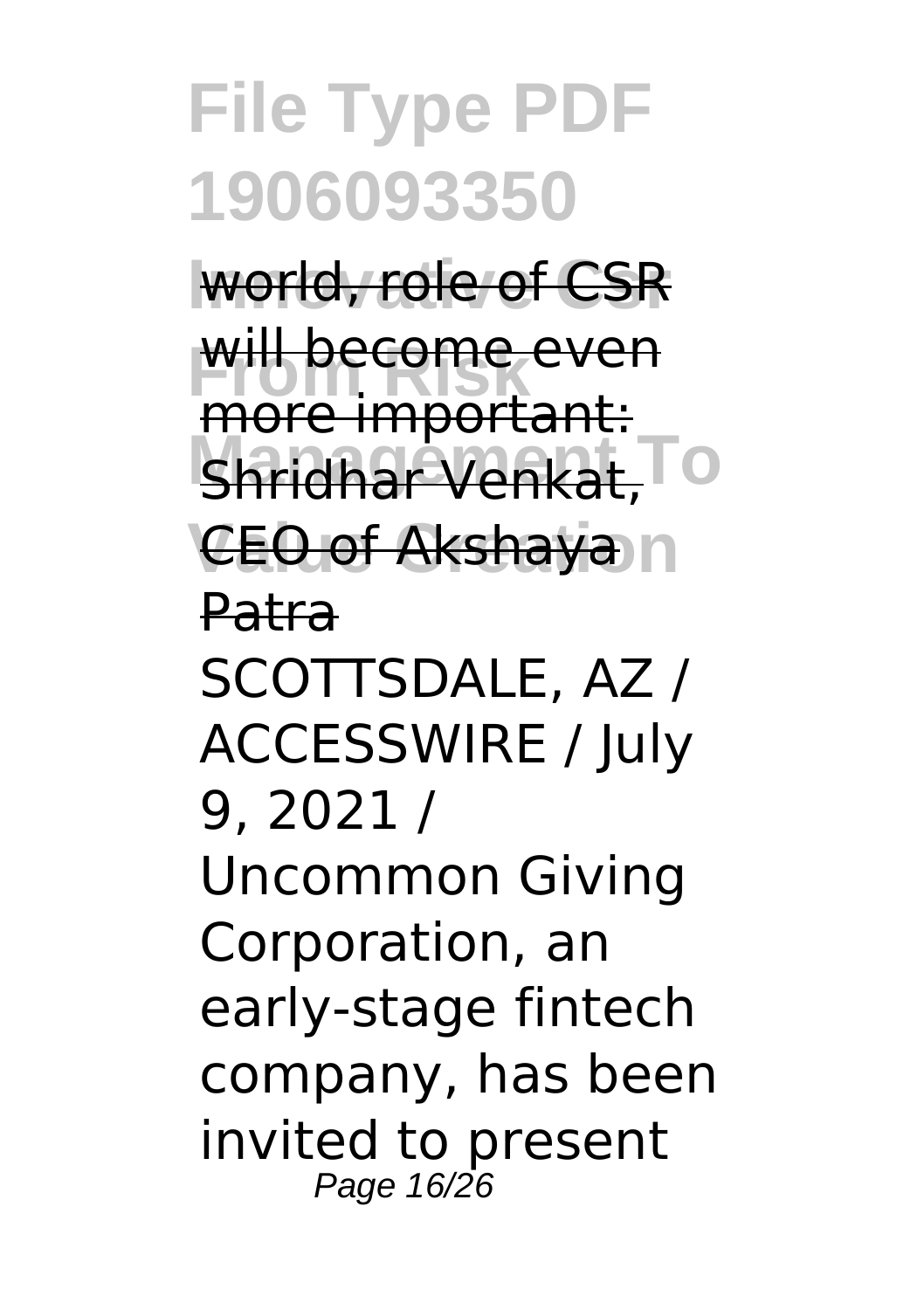world, role of CSR will become even more important:

**Management To** Shridhar Venkat,

**CEO of Akshaya** n

Patra

SCOTTSDALE, AZ / ACCESSWIRE / July 9, 2021 /

Uncommon Giving Corporation, an early-stage fintech company, has been invited to present Page 16/26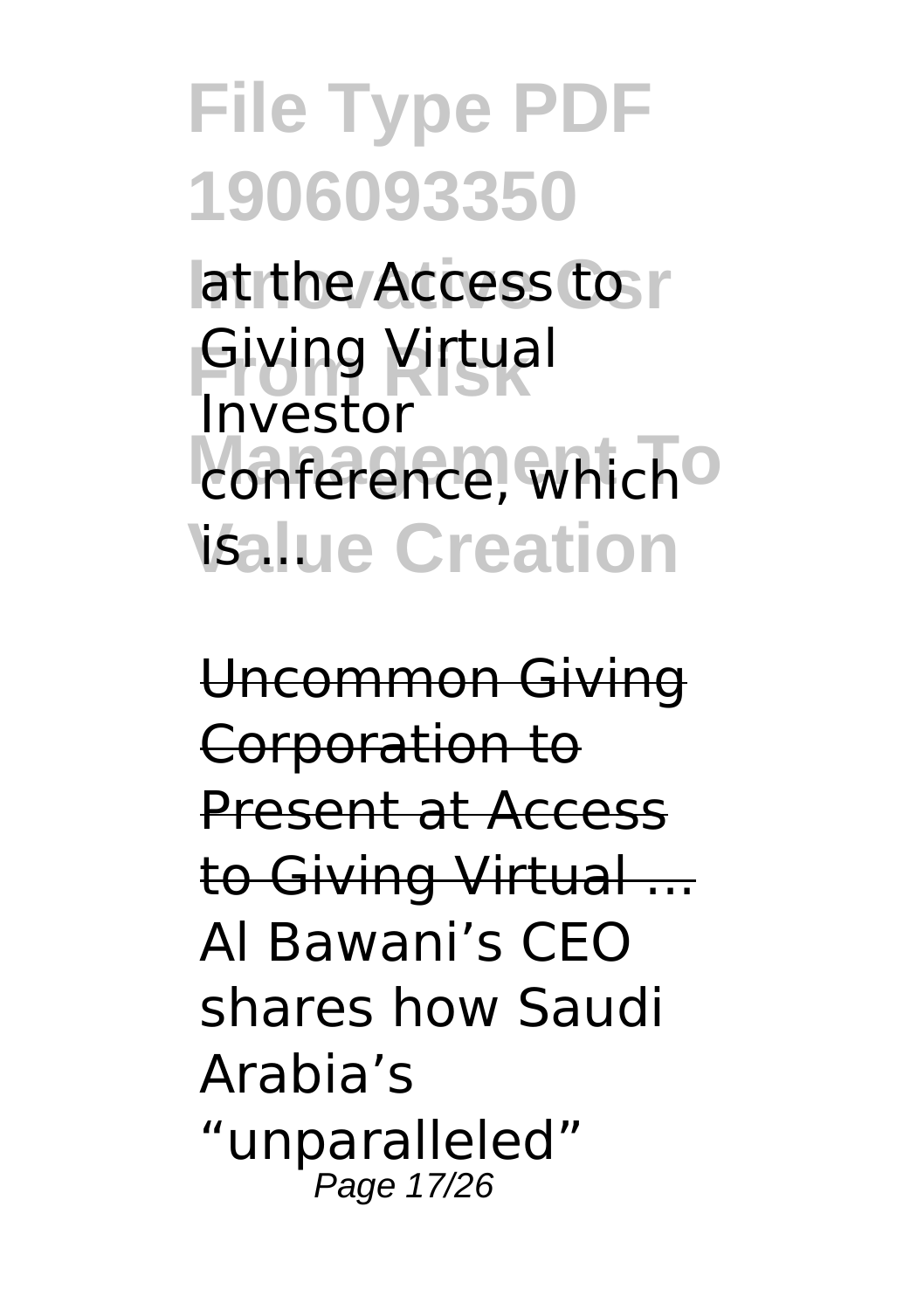lat the Access to r **Giving Virtual** conference, which<sup>o</sup> **Value Creation** Investor

Uncommon Giving Corporation to Present at Access to Giving Virtual ... Al Bawani's CEO shares how Saudi Arabia's "unparalleled" Page 17/26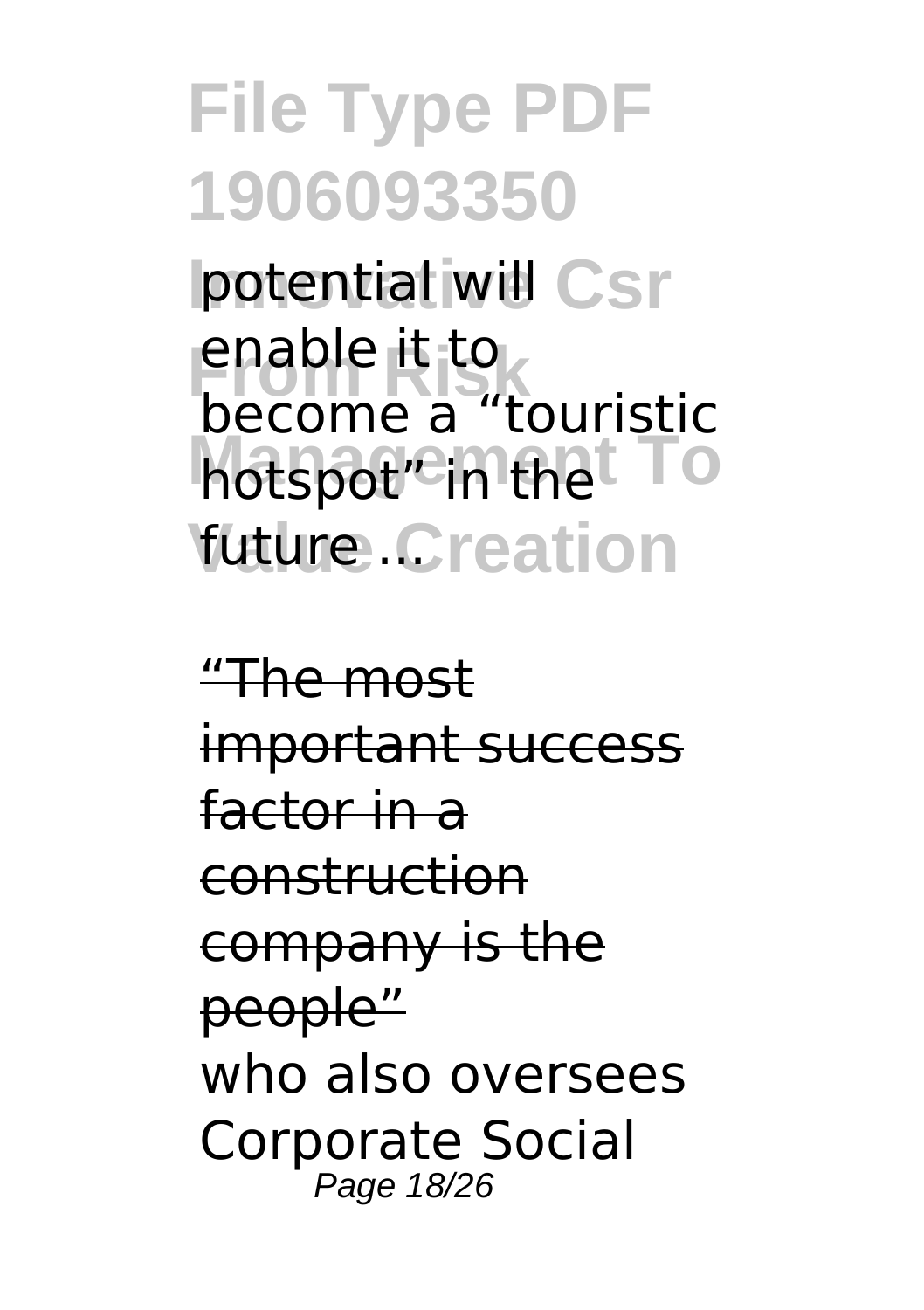**potential will Csr** enable it to<br>become a "touristic hotspot<sup>"</sup> in the TO *<u>future.Creation</u>* enable it to

"The most important success factor in a construction company is the people" who also oversees Corporate Social Page 18/26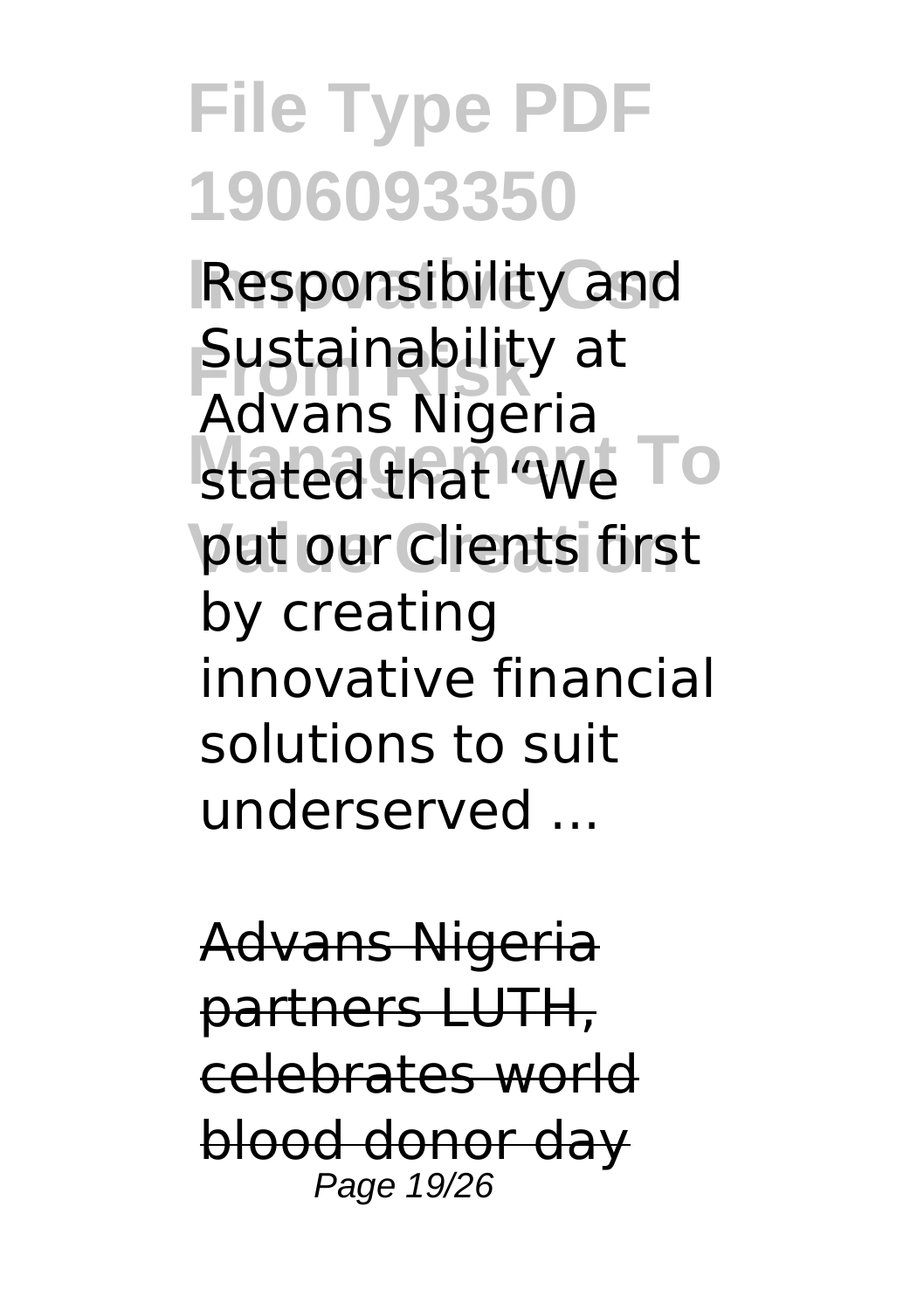**Responsibility and Sustainability at** stated that "We To put our clients first Advans Nigeria by creating innovative financial solutions to suit underserved ...

Advans Nigeria partners LUTH, celebrates world blood donor day Page 19/26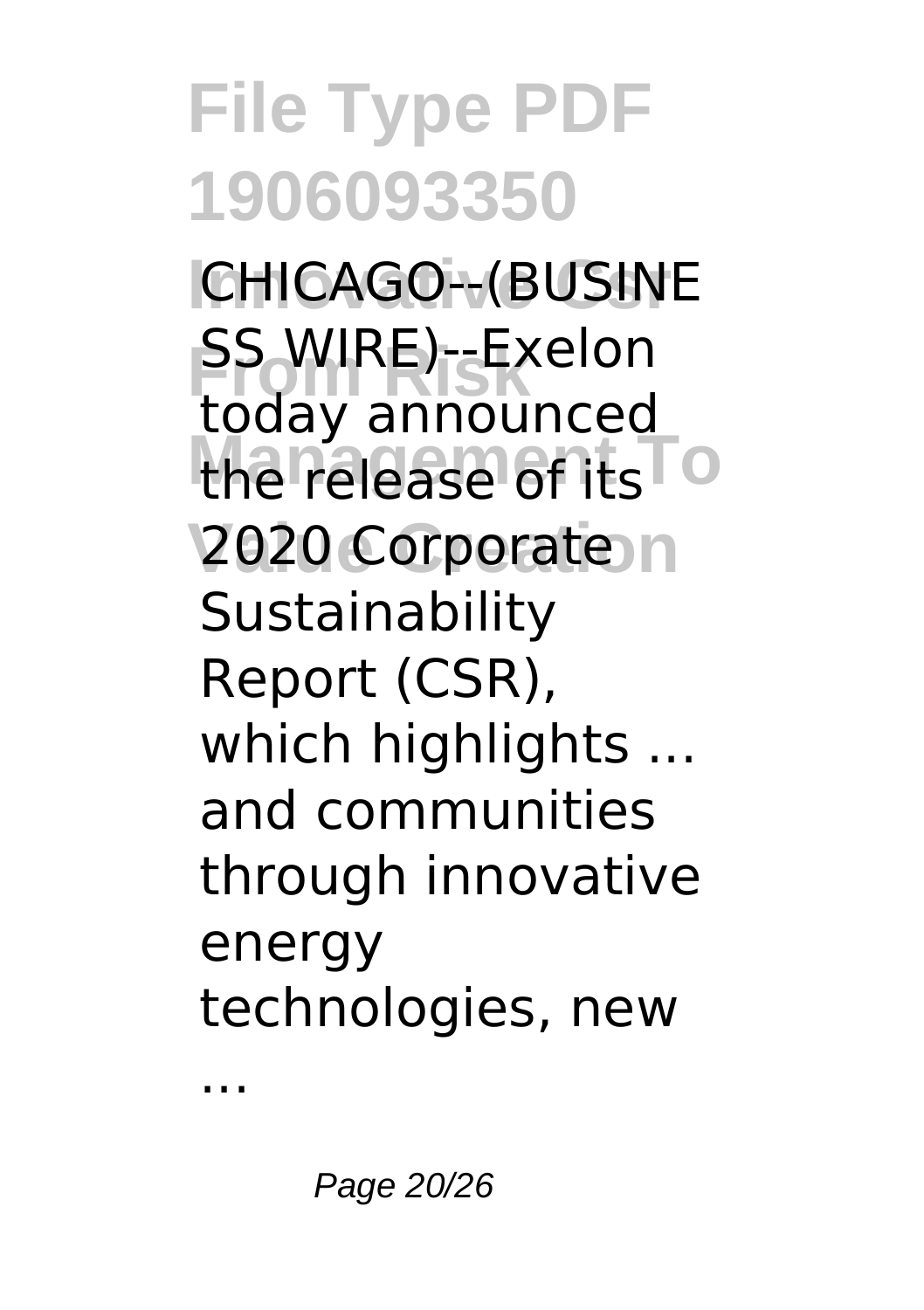**ICHICAGO--(BUSINE From Risk** SS WIRE)--Exelon the release of its<sup>To</sup> **2020 Corporate** today announced **Sustainability** Report (CSR), which highlights ... and communities through innovative energy technologies, new

...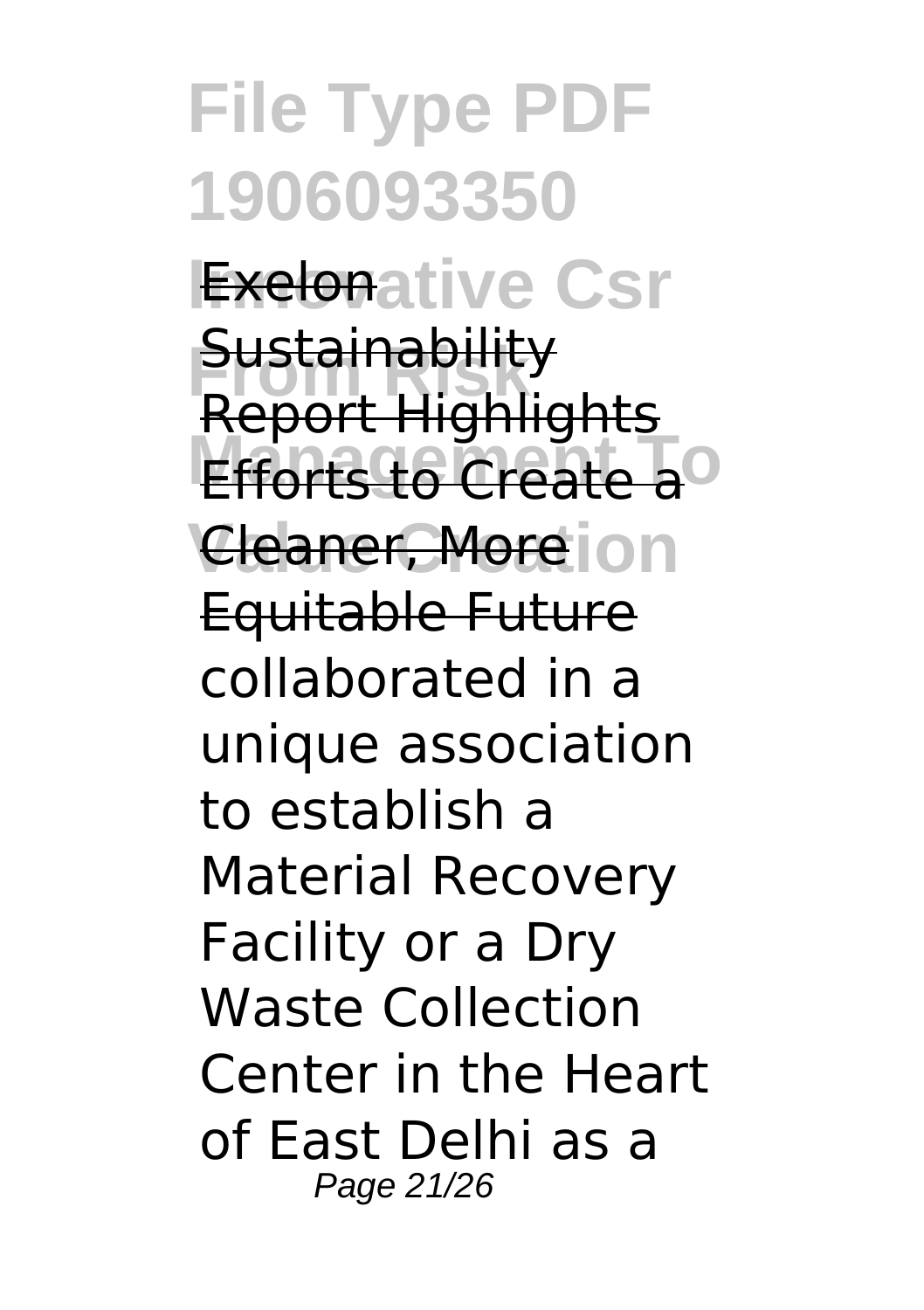**File Type PDF 1906093350 Exelonative Csr Sustainability Efforts to Create a<sup>o</sup> Cleaner, More**ion Report Highlights Equitable Future collaborated in a unique association to establish a Material Recovery Facility or a Dry Waste Collection Center in the Heart of East Delhi as a Page 21/26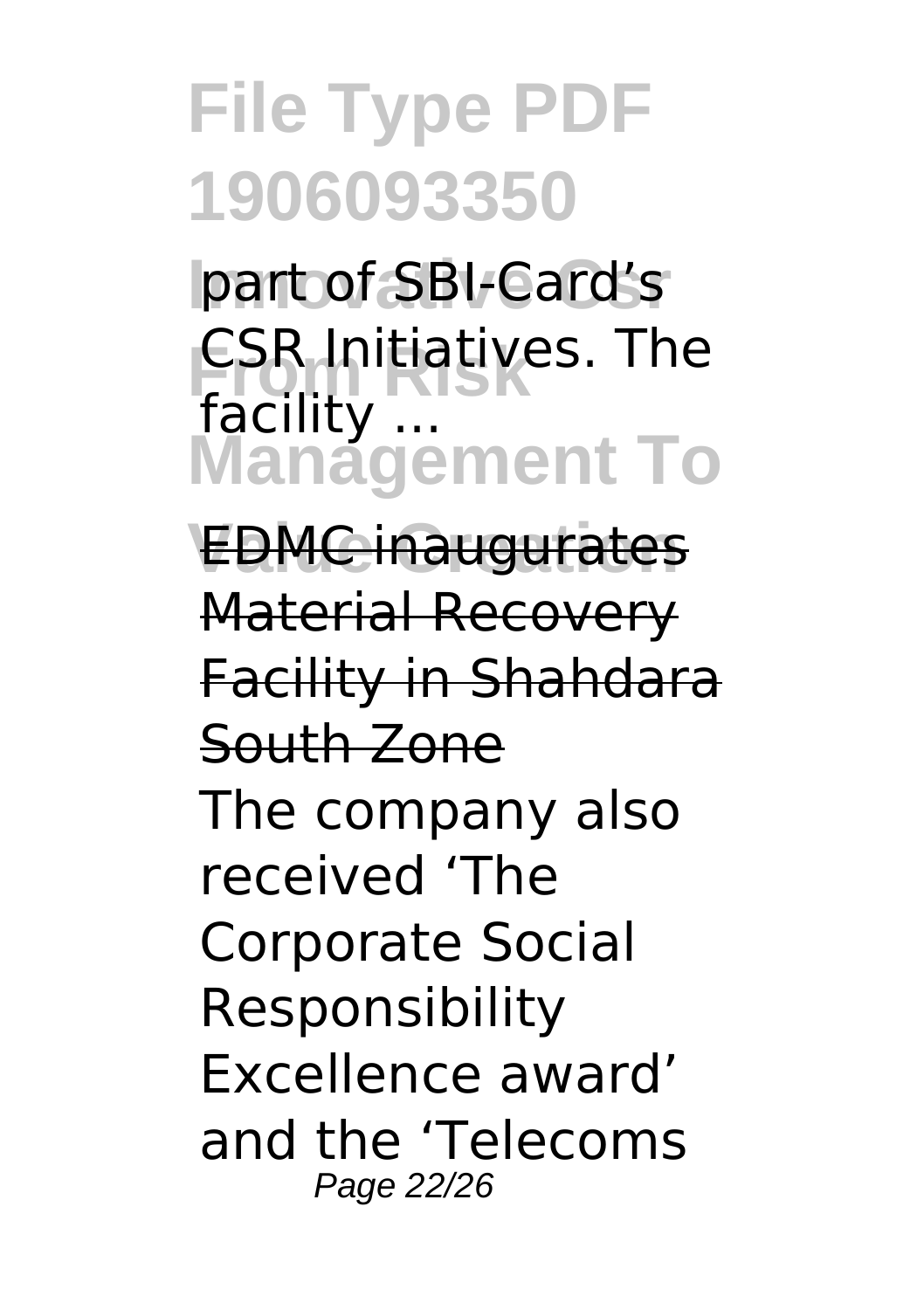part of SBI-Card's **ESR Initiatives. The Management To** facility ...

**Value Creation** EDMC inaugurates Material Recovery Facility in Shahdara South Zone The company also received 'The Corporate Social Responsibility Excellence award' and the 'Telecoms Page 22/26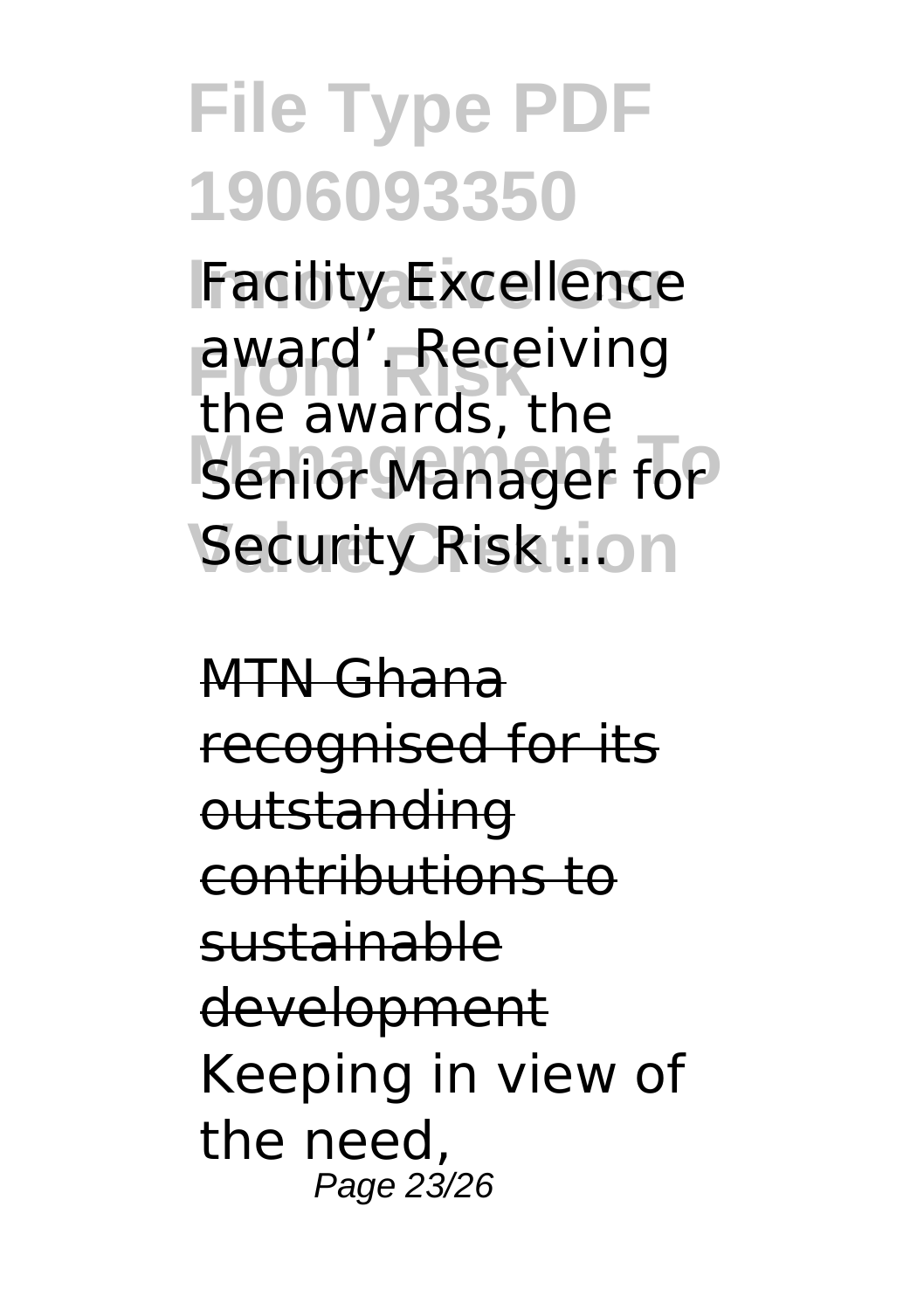**Facility Excellence** award'. Receiving **Manager for Security Risk Lion** the awards, the

MTN Ghana recognised for its outstanding contributions to sustainable development Keeping in view of the need, Page 23/26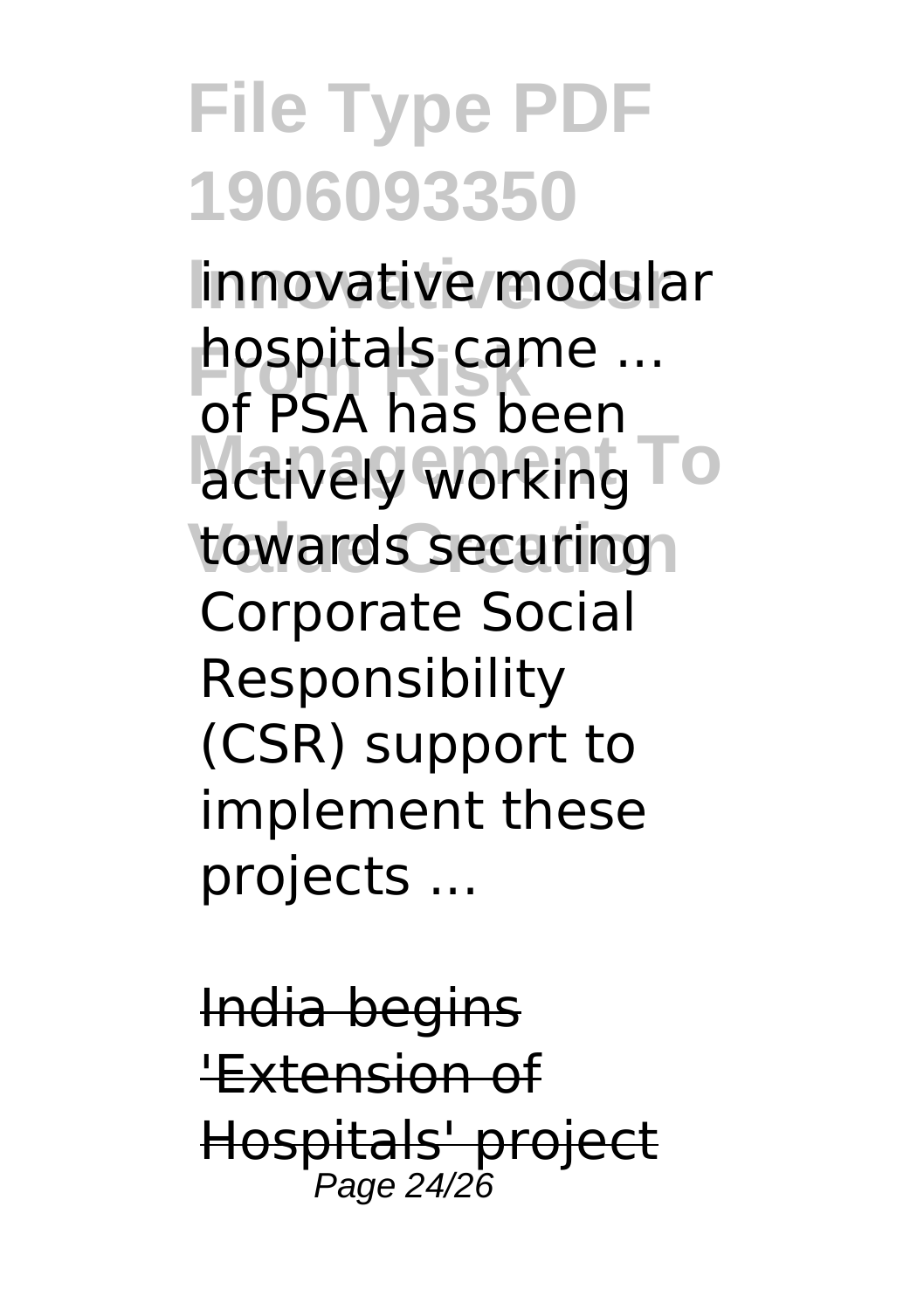linnovative modular hospitals came ... actively working To towards securing of PSA has been Corporate Social Responsibility (CSR) support to implement these projects ...

India begins 'Extension of Hospitals' project Page 24/26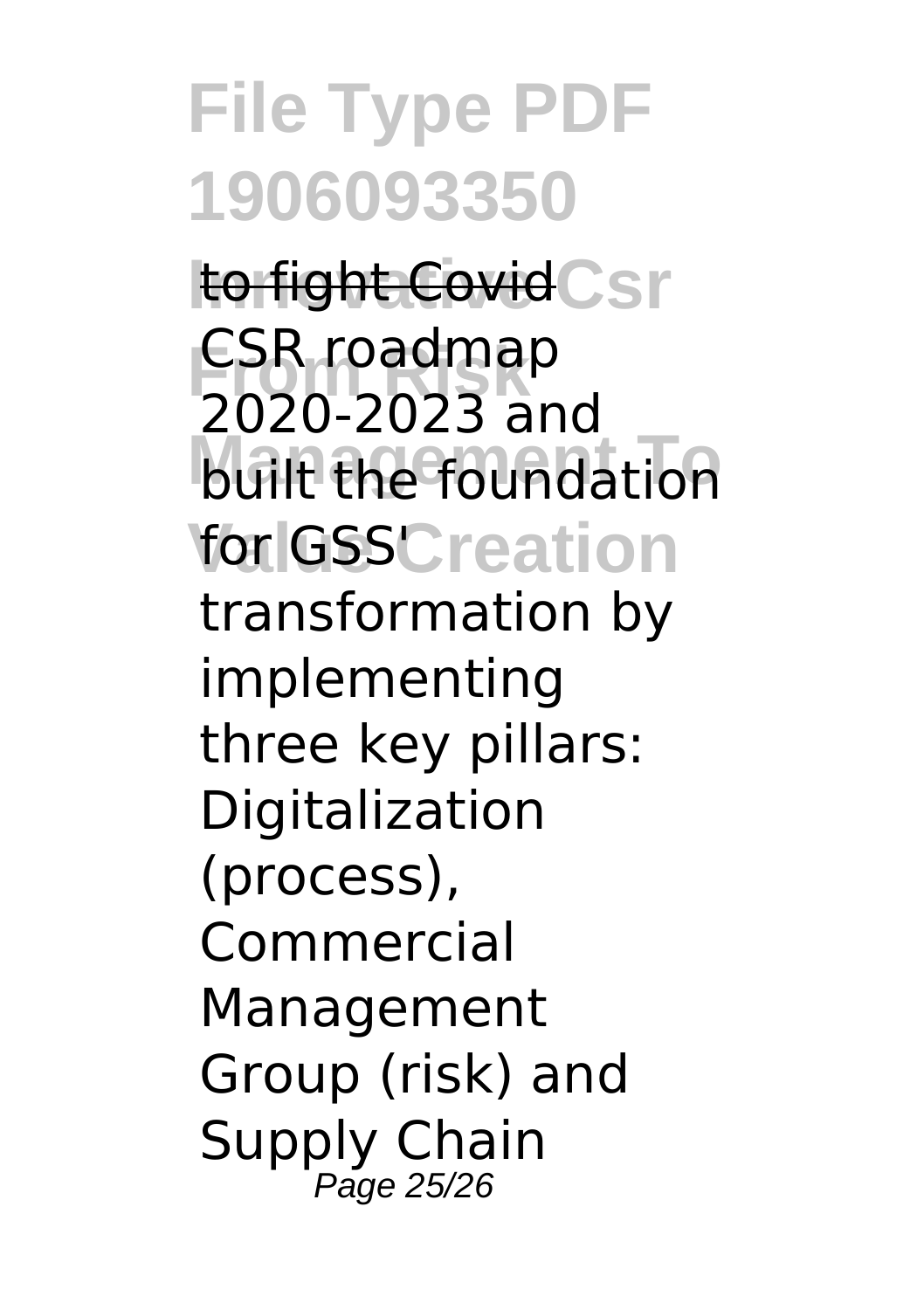**to fight Covid** Csr CSR roadmap **built the foundation** for GSSC reation 2020-2023 and transformation by implementing three key pillars: Digitalization (process), Commercial Management Group (risk) and Supply Chain Page 25/26